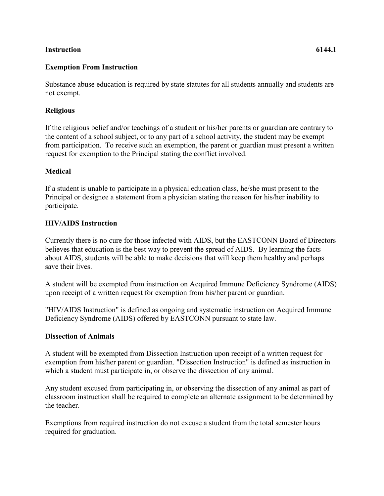#### **Instruction 6144.1**

# **Exemption From Instruction**

Substance abuse education is required by state statutes for all students annually and students are not exempt.

## **Religious**

If the religious belief and/or teachings of a student or his/her parents or guardian are contrary to the content of a school subject, or to any part of a school activity, the student may be exempt from participation. To receive such an exemption, the parent or guardian must present a written request for exemption to the Principal stating the conflict involved.

## **Medical**

If a student is unable to participate in a physical education class, he/she must present to the Principal or designee a statement from a physician stating the reason for his/her inability to participate.

## **HIV/AIDS Instruction**

Currently there is no cure for those infected with AIDS, but the EASTCONN Board of Directors believes that education is the best way to prevent the spread of AIDS. By learning the facts about AIDS, students will be able to make decisions that will keep them healthy and perhaps save their lives.

A student will be exempted from instruction on Acquired Immune Deficiency Syndrome (AIDS) upon receipt of a written request for exemption from his/her parent or guardian.

"HIV/AIDS Instruction" is defined as ongoing and systematic instruction on Acquired Immune Deficiency Syndrome (AIDS) offered by EASTCONN pursuant to state law.

#### **Dissection of Animals**

A student will be exempted from Dissection Instruction upon receipt of a written request for exemption from his/her parent or guardian. "Dissection Instruction" is defined as instruction in which a student must participate in, or observe the dissection of any animal.

Any student excused from participating in, or observing the dissection of any animal as part of classroom instruction shall be required to complete an alternate assignment to be determined by the teacher.

Exemptions from required instruction do not excuse a student from the total semester hours required for graduation.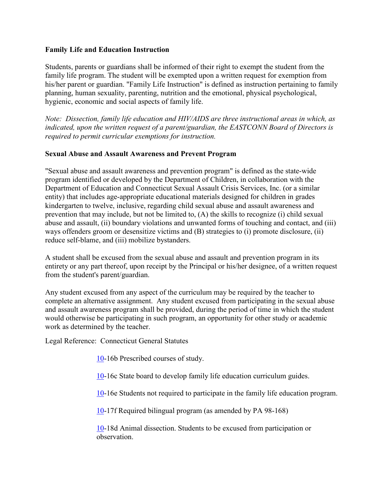# **Family Life and Education Instruction**

Students, parents or guardians shall be informed of their right to exempt the student from the family life program. The student will be exempted upon a written request for exemption from his/her parent or guardian. "Family Life Instruction" is defined as instruction pertaining to family planning, human sexuality, parenting, nutrition and the emotional, physical psychological, hygienic, economic and social aspects of family life.

*Note: Dissection, family life education and HIV/AIDS are three instructional areas in which, as indicated, upon the written request of a parent/guardian, the EASTCONN Board of Directors is required to permit curricular exemptions for instruction.*

# **Sexual Abuse and Assault Awareness and Prevent Program**

"Sexual abuse and assault awareness and prevention program" is defined as the state-wide program identified or developed by the Department of Children, in collaboration with the Department of Education and Connecticut Sexual Assault Crisis Services, Inc. (or a similar entity) that includes age-appropriate educational materials designed for children in grades kindergarten to twelve, inclusive, regarding child sexual abuse and assault awareness and prevention that may include, but not be limited to, (A) the skills to recognize (i) child sexual abuse and assault, (ii) boundary violations and unwanted forms of touching and contact, and (iii) ways offenders groom or desensitize victims and (B) strategies to (i) promote disclosure, (ii) reduce self-blame, and (iii) mobilize bystanders.

A student shall be excused from the sexual abuse and assault and prevention program in its entirety or any part thereof, upon receipt by the Principal or his/her designee, of a written request from the student's parent/guardian.

Any student excused from any aspect of the curriculum may be required by the teacher to complete an alternative assignment. Any student excused from participating in the sexual abuse and assault awareness program shall be provided, during the period of time in which the student would otherwise be participating in such program, an opportunity for other study or academic work as determined by the teacher.

Legal Reference: Connecticut General Statutes

- [10-](http://www.cga.ct.gov/2011/pub/Title10.htm)16b Prescribed courses of study.
- [10-](http://www.cga.ct.gov/2011/pub/Title10.htm)16c State board to develop family life education curriculum guides.
- [10-](http://www.cga.ct.gov/2011/pub/Title10.htm)16e Students not required to participate in the family life education program.
- [10-](http://www.cga.ct.gov/2011/pub/Title10.htm)17f Required bilingual program (as amended by PA 98-168)

[10-](http://www.cga.ct.gov/2011/pub/Title10.htm)18d Animal dissection. Students to be excused from participation or observation.